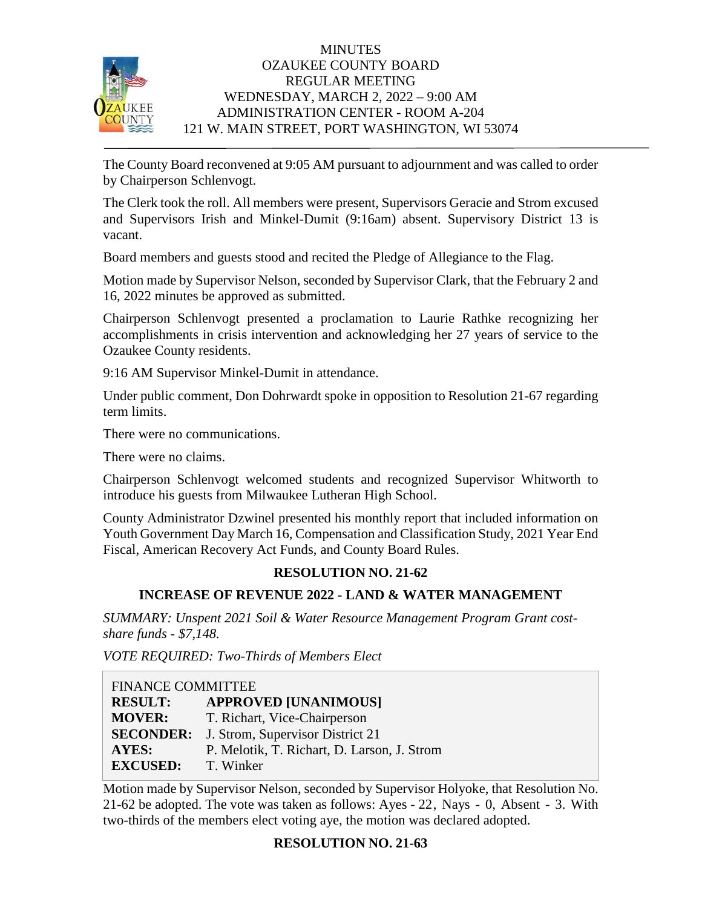

## **MINUTES** OZAUKEE COUNTY BOARD REGULAR MEETING WEDNESDAY, MARCH 2, 2022 – 9:00 AM ADMINISTRATION CENTER - ROOM A-204 121 W. MAIN STREET, PORT WASHINGTON, WI 53074

The County Board reconvened at 9:05 AM pursuant to adjournment and was called to order by Chairperson Schlenvogt.

The Clerk took the roll. All members were present, Supervisors Geracie and Strom excused and Supervisors Irish and Minkel-Dumit (9:16am) absent. Supervisory District 13 is vacant.

Board members and guests stood and recited the Pledge of Allegiance to the Flag.

Motion made by Supervisor Nelson, seconded by Supervisor Clark, that the February 2 and 16, 2022 minutes be approved as submitted.

Chairperson Schlenvogt presented a proclamation to Laurie Rathke recognizing her accomplishments in crisis intervention and acknowledging her 27 years of service to the Ozaukee County residents.

9:16 AM Supervisor Minkel-Dumit in attendance.

Under public comment, Don Dohrwardt spoke in opposition to Resolution 21-67 regarding term limits.

There were no communications.

There were no claims.

Chairperson Schlenvogt welcomed students and recognized Supervisor Whitworth to introduce his guests from Milwaukee Lutheran High School.

County Administrator Dzwinel presented his monthly report that included information on Youth Government Day March 16, Compensation and Classification Study, 2021 Year End Fiscal, American Recovery Act Funds, and County Board Rules.

# **RESOLUTION NO. 21-62**

# **INCREASE OF REVENUE 2022 - LAND & WATER MANAGEMENT**

*SUMMARY: Unspent 2021 Soil & Water Resource Management Program Grant costshare funds - \$7,148.*

*VOTE REQUIRED: Two-Thirds of Members Elect*

| <b>FINANCE COMMITTEE</b> |                                             |  |
|--------------------------|---------------------------------------------|--|
| <b>RESULT:</b>           | <b>APPROVED [UNANIMOUS]</b>                 |  |
| <b>MOVER:</b>            | T. Richart, Vice-Chairperson                |  |
| <b>SECONDER:</b>         | J. Strom, Supervisor District 21            |  |
| AYES:                    | P. Melotik, T. Richart, D. Larson, J. Strom |  |
| <b>EXCUSED:</b>          | T. Winker                                   |  |

Motion made by Supervisor Nelson, seconded by Supervisor Holyoke, that Resolution No. 21-62 be adopted. The vote was taken as follows: Ayes - 22, Nays - 0, Absent - 3. With two-thirds of the members elect voting aye, the motion was declared adopted.

### **RESOLUTION NO. 21-63**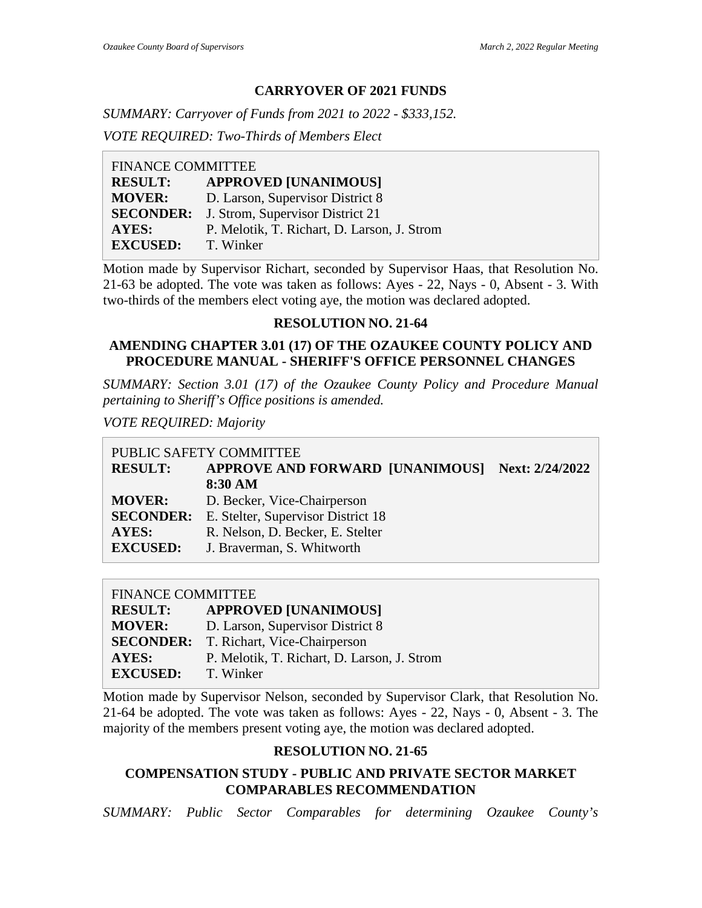## **CARRYOVER OF 2021 FUNDS**

*SUMMARY: Carryover of Funds from 2021 to 2022 - \$333,152. VOTE REQUIRED: Two-Thirds of Members Elect*

| <b>FINANCE COMMITTEE</b> |                                             |
|--------------------------|---------------------------------------------|
| <b>RESULT:</b>           | <b>APPROVED [UNANIMOUS]</b>                 |
| <b>MOVER:</b>            | D. Larson, Supervisor District 8            |
| <b>SECONDER:</b>         | J. Strom, Supervisor District 21            |
| AYES:                    | P. Melotik, T. Richart, D. Larson, J. Strom |
| <b>EXCUSED:</b>          | T. Winker                                   |
|                          |                                             |

Motion made by Supervisor Richart, seconded by Supervisor Haas, that Resolution No. 21-63 be adopted. The vote was taken as follows: Ayes - 22, Nays - 0, Absent - 3. With two-thirds of the members elect voting aye, the motion was declared adopted.

#### **RESOLUTION NO. 21-64**

## **AMENDING CHAPTER 3.01 (17) OF THE OZAUKEE COUNTY POLICY AND PROCEDURE MANUAL - SHERIFF'S OFFICE PERSONNEL CHANGES**

*SUMMARY: Section 3.01 (17) of the Ozaukee County Policy and Procedure Manual pertaining to Sheriff's Office positions is amended.*

*VOTE REQUIRED: Majority*

| PUBLIC SAFETY COMMITTEE          |                                                                                       |  |
|----------------------------------|---------------------------------------------------------------------------------------|--|
|                                  |                                                                                       |  |
| 8:30 AM                          |                                                                                       |  |
| D. Becker, Vice-Chairperson      |                                                                                       |  |
|                                  |                                                                                       |  |
| R. Nelson, D. Becker, E. Stelter |                                                                                       |  |
| J. Braverman, S. Whitworth       |                                                                                       |  |
|                                  | APPROVE AND FORWARD [UNANIMOUS] Next: 2/24/2022<br>E. Stelter, Supervisor District 18 |  |

#### FINANCE COMMITTEE

| <b>RESULT:</b>  | <b>APPROVED [UNANIMOUS]</b>                   |
|-----------------|-----------------------------------------------|
| <b>MOVER:</b>   | D. Larson, Supervisor District 8              |
|                 | <b>SECONDER:</b> T. Richart, Vice-Chairperson |
| <b>AYES:</b>    | P. Melotik, T. Richart, D. Larson, J. Strom   |
| <b>EXCUSED:</b> | T. Winker                                     |

Motion made by Supervisor Nelson, seconded by Supervisor Clark, that Resolution No. 21-64 be adopted. The vote was taken as follows: Ayes - 22, Nays - 0, Absent - 3. The majority of the members present voting aye, the motion was declared adopted.

### **RESOLUTION NO. 21-65**

## **COMPENSATION STUDY - PUBLIC AND PRIVATE SECTOR MARKET COMPARABLES RECOMMENDATION**

*SUMMARY: Public Sector Comparables for determining Ozaukee County's*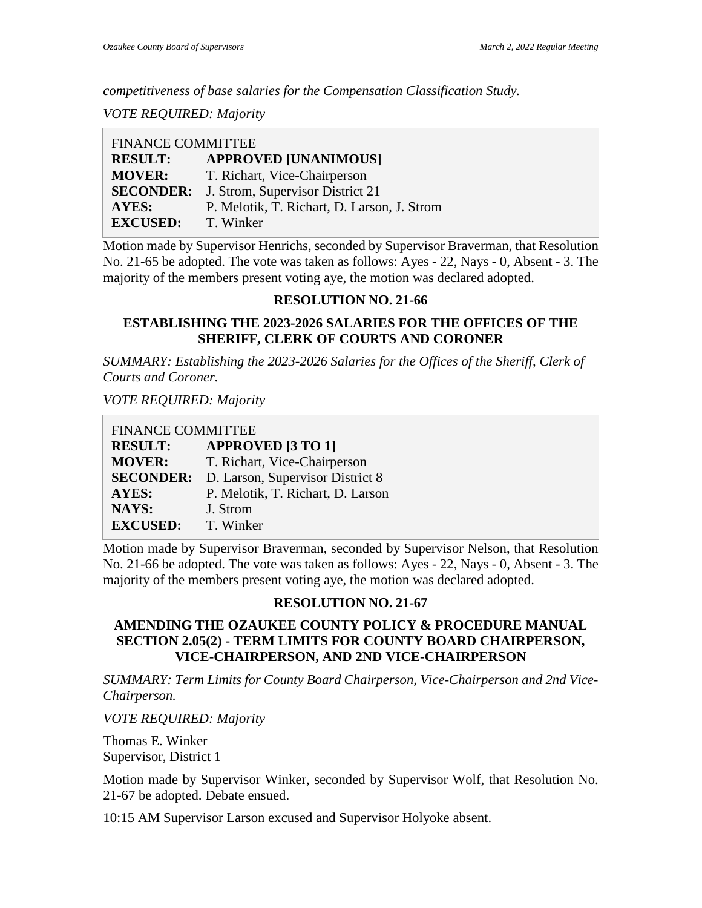*competitiveness of base salaries for the Compensation Classification Study.*

*VOTE REQUIRED: Majority*

| <b>FINANCE COMMITTEE</b> |                                             |  |
|--------------------------|---------------------------------------------|--|
| <b>RESULT:</b>           | <b>APPROVED [UNANIMOUS]</b>                 |  |
| <b>MOVER:</b>            | T. Richart, Vice-Chairperson                |  |
| <b>SECONDER:</b>         | J. Strom, Supervisor District 21            |  |
| <b>AYES:</b>             | P. Melotik, T. Richart, D. Larson, J. Strom |  |
| <b>EXCUSED:</b>          | T. Winker                                   |  |

Motion made by Supervisor Henrichs, seconded by Supervisor Braverman, that Resolution No. 21-65 be adopted. The vote was taken as follows: Ayes - 22, Nays - 0, Absent - 3. The majority of the members present voting aye, the motion was declared adopted.

### **RESOLUTION NO. 21-66**

# **ESTABLISHING THE 2023-2026 SALARIES FOR THE OFFICES OF THE SHERIFF, CLERK OF COURTS AND CORONER**

*SUMMARY: Establishing the 2023-2026 Salaries for the Offices of the Sheriff, Clerk of Courts and Coroner.*

*VOTE REQUIRED: Majority*

| <b>FINANCE COMMITTEE</b> |                                   |  |
|--------------------------|-----------------------------------|--|
| <b>RESULT:</b>           | <b>APPROVED [3 TO 1]</b>          |  |
| <b>MOVER:</b>            | T. Richart, Vice-Chairperson      |  |
| <b>SECONDER:</b>         | D. Larson, Supervisor District 8  |  |
| AYES:                    | P. Melotik, T. Richart, D. Larson |  |
| NAYS:                    | J. Strom                          |  |
| <b>EXCUSED:</b>          | T. Winker                         |  |

Motion made by Supervisor Braverman, seconded by Supervisor Nelson, that Resolution No. 21-66 be adopted. The vote was taken as follows: Ayes - 22, Nays - 0, Absent - 3. The majority of the members present voting aye, the motion was declared adopted.

# **RESOLUTION NO. 21-67**

### **AMENDING THE OZAUKEE COUNTY POLICY & PROCEDURE MANUAL SECTION 2.05(2) - TERM LIMITS FOR COUNTY BOARD CHAIRPERSON, VICE-CHAIRPERSON, AND 2ND VICE-CHAIRPERSON**

*SUMMARY: Term Limits for County Board Chairperson, Vice-Chairperson and 2nd Vice-Chairperson.*

*VOTE REQUIRED: Majority*

Thomas E. Winker Supervisor, District 1

Motion made by Supervisor Winker, seconded by Supervisor Wolf, that Resolution No. 21-67 be adopted. Debate ensued.

10:15 AM Supervisor Larson excused and Supervisor Holyoke absent.